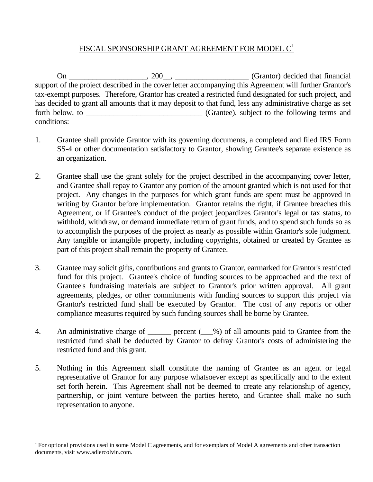## FISCAL SPONSORSHIP GRANT AGREEMENT FOR MODEL  $C^1$

 On \_\_\_\_\_\_\_\_\_\_\_\_\_\_\_\_\_\_\_\_, 200\_\_, \_\_\_\_\_\_\_\_\_\_\_\_\_\_\_\_\_\_\_ (Grantor) decided that financial support of the project described in the cover letter accompanying this Agreement will further Grantor's tax-exempt purposes. Therefore, Grantor has created a restricted fund designated for such project, and has decided to grant all amounts that it may deposit to that fund, less any administrative charge as set forth below, to \_\_\_\_\_\_\_\_\_\_\_\_\_\_\_\_\_\_\_\_\_\_\_\_\_\_\_\_\_\_ (Grantee), subject to the following terms and conditions:

- 1. Grantee shall provide Grantor with its governing documents, a completed and filed IRS Form SS-4 or other documentation satisfactory to Grantor, showing Grantee's separate existence as an organization.
- 2. Grantee shall use the grant solely for the project described in the accompanying cover letter, and Grantee shall repay to Grantor any portion of the amount granted which is not used for that project. Any changes in the purposes for which grant funds are spent must be approved in writing by Grantor before implementation. Grantor retains the right, if Grantee breaches this Agreement, or if Grantee's conduct of the project jeopardizes Grantor's legal or tax status, to withhold, withdraw, or demand immediate return of grant funds, and to spend such funds so as to accomplish the purposes of the project as nearly as possible within Grantor's sole judgment. Any tangible or intangible property, including copyrights, obtained or created by Grantee as part of this project shall remain the property of Grantee.
- 3. Grantee may solicit gifts, contributions and grants to Grantor, earmarked for Grantor's restricted fund for this project. Grantee's choice of funding sources to be approached and the text of Grantee's fundraising materials are subject to Grantor's prior written approval. All grant agreements, pledges, or other commitments with funding sources to support this project via Grantor's restricted fund shall be executed by Grantor. The cost of any reports or other compliance measures required by such funding sources shall be borne by Grantee.
- 4. An administrative charge of percent ( $\%$ ) of all amounts paid to Grantee from the restricted fund shall be deducted by Grantor to defray Grantor's costs of administering the restricted fund and this grant.
- 5. Nothing in this Agreement shall constitute the naming of Grantee as an agent or legal representative of Grantor for any purpose whatsoever except as specifically and to the extent set forth herein. This Agreement shall not be deemed to create any relationship of agency, partnership, or joint venture between the parties hereto, and Grantee shall make no such representation to anyone.

j

<sup>&</sup>lt;sup>1</sup> For optional provisions used in some Model C agreements, and for exemplars of Model A agreements and other transaction documents, visit www.adlercolvin.com.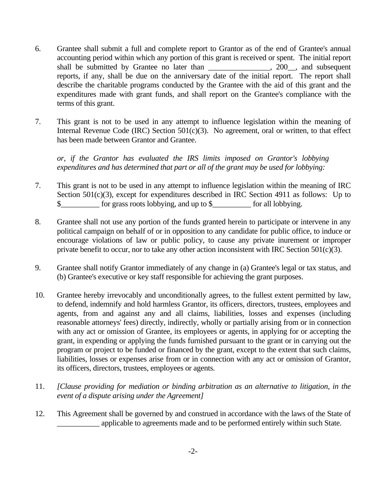- 6. Grantee shall submit a full and complete report to Grantor as of the end of Grantee's annual accounting period within which any portion of this grant is received or spent. The initial report shall be submitted by Grantee no later than \_\_\_\_\_\_\_\_\_\_\_\_\_\_, 200\_\_, and subsequent reports, if any, shall be due on the anniversary date of the initial report. The report shall describe the charitable programs conducted by the Grantee with the aid of this grant and the expenditures made with grant funds, and shall report on the Grantee's compliance with the terms of this grant.
- 7. This grant is not to be used in any attempt to influence legislation within the meaning of Internal Revenue Code (IRC) Section  $501(c)(3)$ . No agreement, oral or written, to that effect has been made between Grantor and Grantee.

*or, if the Grantor has evaluated the IRS limits imposed on Grantor's lobbying expenditures and has determined that part or all of the grant may be used for lobbying:*

- 7. This grant is not to be used in any attempt to influence legislation within the meaning of IRC Section 501(c)(3), except for expenditures described in IRC Section 4911 as follows: Up to \$\_\_\_\_\_\_\_\_\_\_ for grass roots lobbying, and up to \$\_\_\_\_\_\_\_\_\_\_ for all lobbying.
- 8. Grantee shall not use any portion of the funds granted herein to participate or intervene in any political campaign on behalf of or in opposition to any candidate for public office, to induce or encourage violations of law or public policy, to cause any private inurement or improper private benefit to occur, nor to take any other action inconsistent with IRC Section 501(c)(3).
- 9. Grantee shall notify Grantor immediately of any change in (a) Grantee's legal or tax status, and (b) Grantee's executive or key staff responsible for achieving the grant purposes.
- 10. Grantee hereby irrevocably and unconditionally agrees, to the fullest extent permitted by law, to defend, indemnify and hold harmless Grantor, its officers, directors, trustees, employees and agents, from and against any and all claims, liabilities, losses and expenses (including reasonable attorneys' fees) directly, indirectly, wholly or partially arising from or in connection with any act or omission of Grantee, its employees or agents, in applying for or accepting the grant, in expending or applying the funds furnished pursuant to the grant or in carrying out the program or project to be funded or financed by the grant, except to the extent that such claims, liabilities, losses or expenses arise from or in connection with any act or omission of Grantor, its officers, directors, trustees, employees or agents.
- 11. *[Clause providing for mediation or binding arbitration as an alternative to litigation, in the event of a dispute arising under the Agreement]*
- 12. This Agreement shall be governed by and construed in accordance with the laws of the State of applicable to agreements made and to be performed entirely within such State.